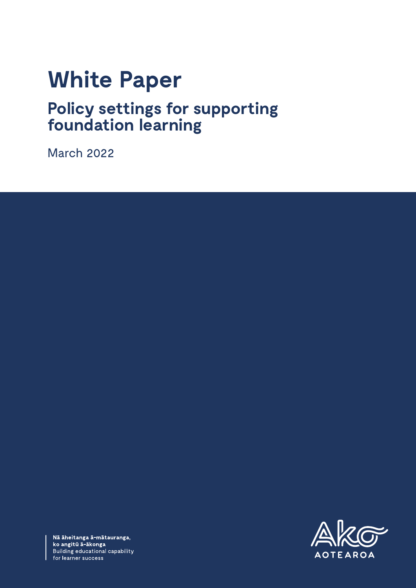# **White Paper**

# **Policy settings for supporting foundation learning**

March 2022



Nā āheitanga ā-mātauranga,<br>ko angitū ā-ākonga Building educational capability for learner success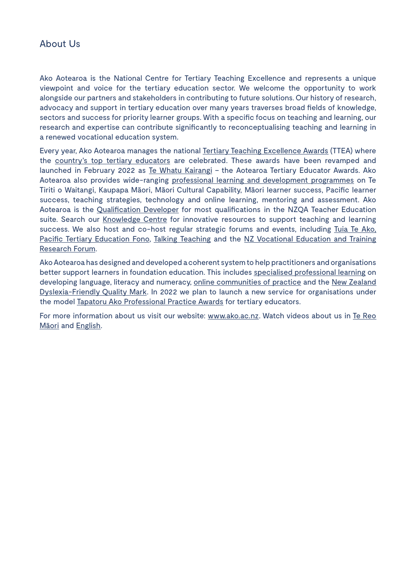#### About Us

Ako Aotearoa is the National Centre for Tertiary Teaching Excellence and represents a unique viewpoint and voice for the tertiary education sector. We welcome the opportunity to work alongside our partners and stakeholders in contributing to future solutions. Our history of research, advocacy and support in tertiary education over many years traverses broad fields of knowledge, sectors and success for priority learner groups. With a specific focus on teaching and learning, our research and expertise can contribute significantly to reconceptualising teaching and learning in a renewed vocational education system.

Every year, Ako Aotearoa manages the national [Tertiary Teaching Excellence Awards](https://ako.ac.nz/about-us/our-work/teaching-awards/) (TTEA) where the [country's top tertiary educators](https://ako.ac.nz/our-community/tertiary-teaching-excellence-awards/2021-tertiary-teaching-excellence-awardees/) are celebrated. These awards have been revamped and launched in February 2022 as [Te Whatu Kairangi](https://ako.ac.nz/about-us/our-work/te-whatu-kairangi/) - the Aotearoa Tertiary Educator Awards. Ako Aotearoa also provides wide-ranging [professional learning and development programmes](https://ako.ac.nz/about-us/our-work/professional-learning/) on Te Tiriti o Waitangi, Kaupapa Māori, Māori Cultural Capability, Māori learner success, Pacific learner success, teaching strategies, technology and online learning, mentoring and assessment. Ako Aotearoa is the [Qualification Developer](https://ako.ac.nz/our-community/adult-education-and-training-qualifications-review/) for most qualifications in the NZQA Teacher Education suite. Search our [Knowledge Centre](https://ako.ac.nz/knowledge-centre/) for innovative resources to support teaching and learning success. We also host and co-host regular strategic forums and events, including [Tuia Te Ako](https://ako.ac.nz/our-community/tuia-te-ako-2021/), [Pacific Tertiary Education Fono,](https://ako.ac.nz/professional-learning/in-house-workshop/strategic-forums/pacific-tertiary-education-forum-2018/) [Talking Teaching](https://ako.ac.nz/professional-learning/in-house-workshop/strategic-forums/talking-teaching-2018/) and the NZ Vocational Education and Training [Research Forum.](https://ako.ac.nz/our-community/ako-aotearoa-news/new-zealand-vocational-education-and-training-research-forum-2020/)

Ako Aotearoa has designed and developed a coherent system to help practitioners and organisations better support learners in foundation education. This includes [specialised professional learning](https://ako.ac.nz/about-us/alnacc/professional-learning/) on developing language, literacy and numeracy, [online communities of practice](https://www.facebook.com/AkoAotearoa/groups) and the [New Zealand](https://ako.ac.nz/our-community/the-dyslexia-friendly-quality-mark/)  [Dyslexia-Friendly Quality Mark](https://ako.ac.nz/our-community/the-dyslexia-friendly-quality-mark/). In 2022 we plan to launch a new service for organisations under the model [Tapatoru Ako Professional Practice Awards](https://ako.ac.nz/about-us/alnacc/foundation-learning-professional-standards-framework/) for tertiary educators.

For more information about us visit our website: [www.ako.ac.nz](file:///C:\Users\avlam\AppData\Local\Packages\Microsoft.Office.Desktop_8wekyb3d8bbwe\AC\INetCache\Content.Outlook\6E3GQS49\www.ako.ac.nz). Watch videos about us in Te Reo [Māori](https://youtu.be/BP3tgX04MNY) and [English](https://youtu.be/WC19lGm_opQ).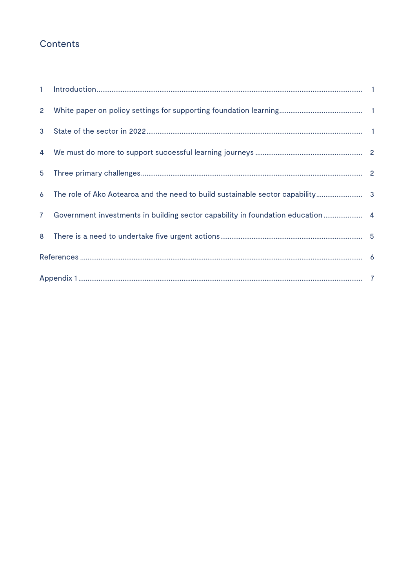# Contents

| $2^{\circ}$    |                                                                                 |  |
|----------------|---------------------------------------------------------------------------------|--|
|                |                                                                                 |  |
|                |                                                                                 |  |
|                |                                                                                 |  |
|                | 6 The role of Ako Aotearoa and the need to build sustainable sector capability  |  |
| 7 <sup>7</sup> | Government investments in building sector capability in foundation education  4 |  |
|                |                                                                                 |  |
|                |                                                                                 |  |
|                |                                                                                 |  |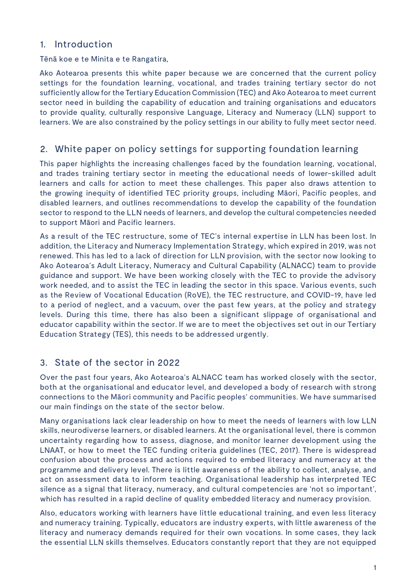#### 1. Introduction

Tēnā koe e te Minita e te Rangatira,

Ako Aotearoa presents this white paper because we are concerned that the current policy Ako Aotearoa presents this white paper because we are concerned that the current policy settings for the foundation learning, vocational, and trades training tertiary sector do not settings for the foundation learning, vocational, and trades training tertiary sector do not sufficiently allow for the Tertiary Education Commission (TEC) and Ako Aotearoa to meet sufficiently allow for the Tertiary Education Commission (TEC) and Ako Aotearoa to meet current sector need in building the capability of education and training organisations and educators to provide quality, culturally responsive Language, Literacy and Numeracy (LLN) support to learners. We are also constrained by the policy settings in our ability to fully meet sector need.

### 2. White paper on policy settings for supporting foundation learning

This paper highlights the increasing challenges faced by the foundation learning, vocational, This paper highlights the increasing challenges faced by the foundation learning, vocational, and trades training tertiary sector in meeting the educational needs of lower-skilled adult and trades training tertiary sector in meeting the educational needs of lower-skilled adult learners and calls for action to meet these challenges. This paper also draws attention to growing inequity of identified TEC priority groups, including Māori, Pacific peoples, and the growing inequity of identified TEC priority groups, including Māori, Pacific peoples, and disabled learners, and outlines recommendations to develop the capability of the foundation disabled learners, and outlines recommendations to develop the capability of the foundation sector to respond to the LLN needs of learners, and develop the cultural competencies needed to support Māori and Pacific learners.  $\hphantom{i^{2}}$ 

As a result of the TEC restructure, some of TEC's internal expertise in LLN has been lost. In addition, the Literacy and Numeracy Implementation Strategy, which expired in 2019, was not renewed. This has led to a lack of direction for LLN provision, with the sector now looking to Ako Aotearoa's Adult Literacy, Numeracy and Cultural Capability (ALNACC) team to provide guidance and support. We have been working closely with the TEC to provide the advisory work needed, and to assist the TEC in leading the sector in this space. Various events, such as the Review of Vocational Education (RoVE), the TEC restructure, and COVID-19, have led to a period of neglect, and a vacuum, over the past few years, at the policy and strategy levels. During this time, there has also been a significant slippage of organisational and educator capability within the sector. If we are to meet the objectives set out in our Tertiary Education Strategy (TES), this needs to be addressed urgently.

#### 3. State of the sector in 2022

Over the past four years, Ako Aotearoa's ALNACC team has worked closely with the sector, both at the organisational and educator level, and developed a body of research with strong connections to the Māori community and Pacific peoples' communities. We have summarised our main findings on the state of the sector below.

Many organisations lack clear leadership on how to meet the needs of learners with low LLN skills, neurodiverse learners, or disabled learners. At the organisational level, there is common uncertainty regarding how to assess, diagnose, and monitor learner development using the LNAAT, or how to meet the TEC funding criteria guidelines (TEC, 2017). There is widespread confusion about the process and actions required to embed literacy and numeracy at the programme and delivery level. There is little awareness of the ability to collect, analyse, and act on assessment data to inform teaching. Organisational leadership has interpreted TEC silence as a signal that literacy, numeracy, and cultural competencies are 'not so important', which has resulted in a rapid decline of quality embedded literacy and numeracy provision.

Also, educators working with learners have little educational training, and even less literacy and numeracy training. Typically, educators are industry experts, with little awareness of the literacy and numeracy demands required for their own vocations. In some cases, they lack the essential LLN skills themselves. Educators constantly report that they are not equipped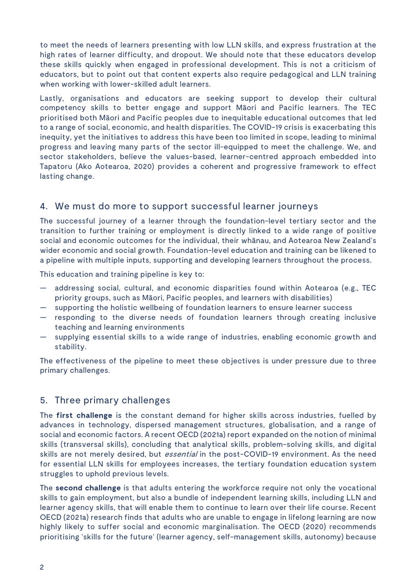to meet the needs of learners presenting with low LLN skills, and express frustration at the high rates of learner difficulty, and dropout. We should note that these educators develop these skills quickly when engaged in professional development. This is not a criticism of educators, but to point out that content experts also require pedagogical and LLN training when working with lower-skilled adult learners.

Lastly, organisations and educators are seeking support to develop their cultural competency skills to better engage and support Māori and Pacific learners. The TEC prioritised both Māori and Pacific peoples due to inequitable educational outcomes that led to a range of social, economic, and health disparities. The COVID-19 crisis is exacerbating this inequity, yet the initiatives to address this have been too limited in scope, leading to minimal progress and leaving many parts of the sector ill-equipped to meet the challenge. We, and sector stakeholders, believe the values-based, learner-centred approach embedded into Tapatoru (Ako Aotearoa, 2020) provides a coherent and progressive framework to effect lasting change.

#### 4. We must do more to support successful learner journeys

The successful journey of a learner through the foundation-level tertiary sector and the transition to further training or employment is directly linked to a wide range of positive social and economic outcomes for the individual, their whānau, and Aotearoa New Zealand's wider economic and social growth. Foundation-level education and training can be likened to a pipeline with multiple inputs, supporting and developing learners throughout the process.

This education and training pipeline is key to:

- addressing social, cultural, and economic disparities found within Aotearoa (e.g., TEC priority groups, such as Māori, Pacific peoples, and learners with disabilities)
- supporting the holistic wellbeing of foundation learners to ensure learner success
- responding to the diverse needs of foundation learners through creating inclusive teaching and learning environments
- supplying essential skills to a wide range of industries, enabling economic growth and stability.

The effectiveness of the pipeline to meet these objectives is under pressure due to three primary challenges.

#### 5. Three primary challenges

The **first challenge** is the constant demand for higher skills across industries, fuelled by advances in technology, dispersed management structures, globalisation, and a range of social and economic factors. A recent OECD (2021a) report expanded on the notion of minimal skills (transversal skills), concluding that analytical skills, problem-solving skills, and digital skills are not merely desired, but *essential* in the post-COVID-19 environment. As the need for essential LLN skills for employees increases, the tertiary foundation education system struggles to uphold previous levels.

The **second challenge** is that adults entering the workforce require not only the vocational skills to gain employment, but also a bundle of independent learning skills, including LLN and learner agency skills, that will enable them to continue to learn over their life course. Recent OECD (2021a) research finds that adults who are unable to engage in lifelong learning are now highly likely to suffer social and economic marginalisation. The OECD (2020) recommends prioritising 'skills for the future' (learner agency, self-management skills, autonomy) because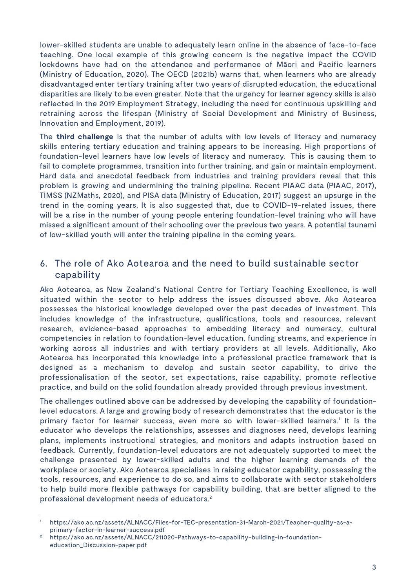lower-skilled students are unable to adequately learn online in the absence of face-to-face teaching. One local example of this growing concern is the negative impact the COVID lockdowns have had on the attendance and performance of Māori and Pacific learners (Ministry of Education, 2020). The OECD (2021b) warns that, when learners who are already disadvantaged enter tertiary training after two years of disrupted education, the educational disparities are likely to be even greater. Note that the urgency for learner agency skills is also reflected in the 2019 Employment Strategy, including the need for continuous upskilling and retraining across the lifespan (Ministry of Social Development and Ministry of Business, Innovation and Employment, 2019).

The **third challenge** is that the number of adults with low levels of literacy and numeracy skills entering tertiary education and training appears to be increasing. High proportions of foundation-level learners have low levels of literacy and numeracy. This is causing them to fail to complete programmes, transition into further training, and gain or maintain employment. Hard data and anecdotal feedback from industries and training providers reveal that this problem is growing and undermining the training pipeline. Recent PIAAC data (PIAAC, 2017), TIMSS (NZMaths, 2020), and PISA data (Ministry of Education, 2017) suggest an upsurge in the trend in the coming years. It is also suggested that, due to COVID-19-related issues, there will be a rise in the number of young people entering foundation-level training who will have missed a significant amount of their schooling over the previous two years. A potential tsunami of low-skilled youth will enter the training pipeline in the coming years. The **third challenge** is that the number of adults with low levels of literacy and numeracy skills entering tertiary education and training appears to be increasing. High proportions of foundation-level learners have low l TIMSS (NZMaths, 2020), and PISA data (Ministry of Education, 2017) suggest an upsurge in the<br>trend in the coming years. It is also suggested that, due to COVID-19-related issues, there<br>will be a rise in the number of young

#### 6. The role of Ako Aotearoa and the need to build sustainable sector capability

Ako Aotearoa, as New Zealand's National Centre for Tertiary Teaching Excellence, is well situated within the sector to help address the issues discussed above. Ako Aotearoa possesses the historical knowledge developed over the past decades of investment. This includes knowledge of the infrastructure, qualifications, tools and resources, relevant research, evidence-based approaches to embedding literacy and numeracy, cultural competencies in relation to foundation-level education, funding streams, and experience in working across all industries and with tertiary providers at all levels. Additionally, Ako Aotearoa has incorporated this knowledge into a professional practice framework that is designed as a mechanism to develop and sustain sector capability, to drive the professionalisation of the sector, set expectations, raise capability, promote reflective practice, and build on the solid foundation already provided through previous investment.

The challenges outlined above can be addressed by developing the capability of foundationlevel educators. A large and growing body of research demonstrates that the educator is the primary factor for learner success, even more so with lower-skilled learners.1 It is the educator who develops the relationships, assesses and diagnoses need, develops learning plans, implements instructional strategies, and monitors and adapts instruction based on feedback. Currently, foundation-level educators are not adequately supported to meet the challenge presented by lower-skilled adults and the higher learning demands of the workplace or society. Ako Aotearoa specialises in raising educator capability, possessing the tools, resources, and experience to do so, and aims to collaborate with sector stakeholders to help build more flexible pathways for capability building, that are better aligned to the professional development needs of educators.2

<sup>1</sup> https://ako.ac.nz/assets/ALNACC/Files-for-TEC-presentation-31-March-2021/Teacher-quality-as-aprimary-factor-in-learner-success.pdf

<sup>2</sup> https://ako.ac.nz/assets/ALNACC/211020-Pathways-to-capability-building-in-foundationeducation\_Discussion-paper.pdf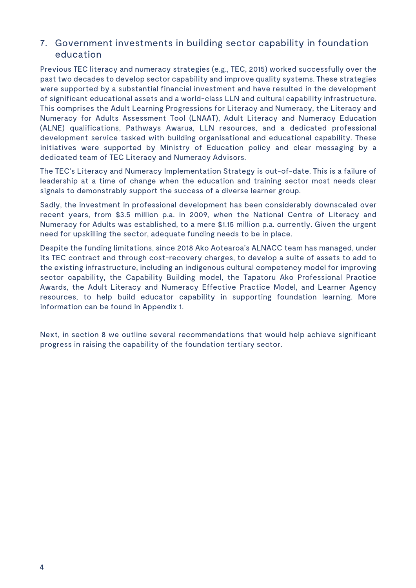#### 7. Government investments in building sector capability in foundation education

Previous TEC literacy and numeracy strategies (e.g., TEC, 2015) worked successfully over the past two decades to develop sector capability and improve quality systems. These strategies were supported by a substantial financial investment and have resulted in the development of significant educational assets and a world-class LLN and cultural capability infrastructure. This comprises the Adult Learning Progressions for Literacy and Numeracy, the Literacy and Numeracy for Adults Assessment Tool (LNAAT), Adult Literacy and Numeracy Education (ALNE) qualifications, Pathways Awarua, LLN resources, and a dedicated professional development service tasked with building organisational and educational capability. These initiatives were supported by Ministry of Education policy and clear messaging by a dedicated team of TEC Literacy and Numeracy Advisors.

The TEC's Literacy and Numeracy Implementation Strategy is out-of-date. This is a failure of leadership at a time of change when the education and training sector most needs clear signals to demonstrably support the success of a diverse learner group.

Sadly, the investment in professional development has been considerably downscaled over recent years, from \$3.5 million p.a. in 2009, when the National Centre of Literacy and Numeracy for Adults was established, to a mere \$1.15 million p.a. currently. Given the urgent need for upskilling the sector, adequate funding needs to be in place.

Despite the funding limitations, since 2018 Ako Aotearoa's ALNACC team has managed, under its TEC contract and through cost-recovery charges, to develop a suite of assets to add to the existing infrastructure, including an indigenous cultural competency model for improving sector capability, the Capability Building model, the Tapatoru Ako Professional Practice Awards, the Adult Literacy and Numeracy Effective Practice Model, and Learner Agency resources, to help build educator capability in supporting foundation learning. More information can be found in Appendix 1.

Next, in section 8 we outline several recommendations that would help achieve significant progress in raising the capability of the foundation tertiary sector.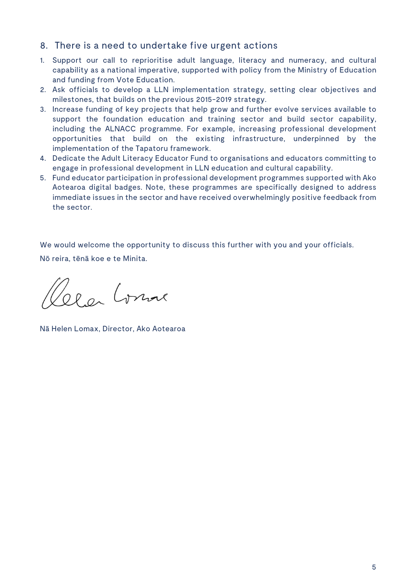#### 8. There is a need to undertake five urgent actions

- 1. Support our call to reprioritise adult language, literacy and numeracy, and cultural capability as a national imperative, supported with policy from the Ministry of Education and funding from Vote Education.
- 2. Ask officials to develop a LLN implementation strategy, setting clear objectives and milestones, that builds on the previous 2015-2019 strategy.
- 3. Increase funding of key projects that help grow and further evolve services available to support the foundation education and training sector and build sector capability, including the ALNACC programme. For example, increasing professional development opportunities that build on the existing infrastructure, underpinned by the implementation of the Tapatoru framework.
- 4. Dedicate the Adult Literacy Educator Fund to organisations and educators committing to engage in professional development in LLN education and cultural capability.
- 5. Fund educator participation in professional development programmes supported with Ako Aotearoa digital badges. Note, these programmes are specifically designed to address immediate issues in the sector and have received overwhelmingly positive feedback from the sector.

We would welcome the opportunity to discuss this further with you and your officials.

Nō reira, tēnā koe e te Minita.

1 a Comme

Nā Helen Lomax, Director, Ako Aotearoa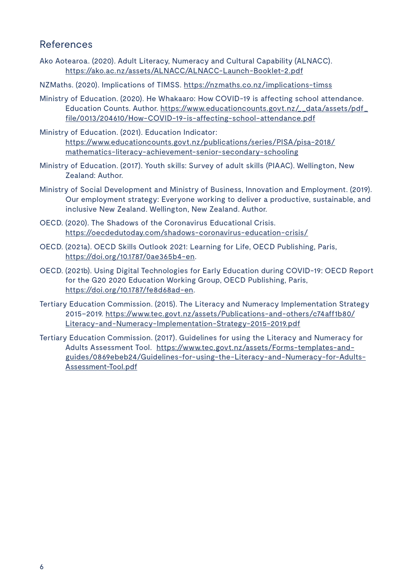#### References

- Ako Aotearoa. (2020). Adult Literacy, Numeracy and Cultural Capability (ALNACC). <https://ako.ac.nz/assets/ALNACC/ALNACC-Launch-Booklet-2.pdf>
- NZMaths. (2020). Implications of TIMSS. <https://nzmaths.co.nz/implications-timss>
- Ministry of Education. (2020). He Whakaaro: How COVID-19 is affecting school attendance. Education Counts. Author. [https://www.educationcounts.govt.nz/\\_\\_data/assets/pdf\\_](https://www.educationcounts.govt.nz/__data/assets/pdf_file/0013/204610/How-COVID-19-is-affecting-school-attendance.pdf) [file/0013/204610/How-COVID-19-is-affecting-school-attendance.pdf](https://www.educationcounts.govt.nz/__data/assets/pdf_file/0013/204610/How-COVID-19-is-affecting-school-attendance.pdf)
- Ministry of Education. (2021). Education Indicator: [https://www.educationcounts.govt.nz/publications/series/PISA/pisa-2018/](https://ako.ac.nz/assets/Our-publications/Ako-Our-Future.pdf) [mathematics-literacy-achievement-senior-secondary-schooling](https://ako.ac.nz/assets/Our-publications/Ako-Our-Future.pdf)
- Ministry of Education. (2017). Youth skills: Survey of adult skills (PIAAC). Wellington, New Zealand: Author.
- Ministry of Social Development and Ministry of Business, Innovation and Employment. (2019). Our employment strategy: Everyone working to deliver a productive, sustainable, and inclusive New Zealand. Wellington, New Zealand. Author.
- OECD. (2020). The Shadows of the Coronavirus Educational Crisis. <https://oecdedutoday.com/shadows-coronavirus-education-crisis/>
- OECD. (2021a). OECD Skills Outlook 2021: Learning for Life, OECD Publishing, Paris, [https://doi.org/10.1787/0ae365b4-en.](https://doi.org/10.1787/0ae365b4-en)
- OECD. (2021b). Using Digital Technologies for Early Education during COVID-19: OECD Report for the G20 2020 Education Working Group, OECD Publishing, Paris, [https://doi.org/10.1787/fe8d68ad-en.](https://doi.org/10.1787/fe8d68ad-en)
- Tertiary Education Commission. (2015). The Literacy and Numeracy Implementation Strategy 2015–2019. [https://www.tec.govt.nz/assets/Publications-and-others/c74aff1b80/](https://www.tec.govt.nz/assets/Publications-and-others/c74aff1b80/Literacy-and-Numeracy-Implementation-Strategy-2015-2019.pdf) [Literacy-and-Numeracy-Implementation-Strategy-2015-2019.pdf](https://www.tec.govt.nz/assets/Publications-and-others/c74aff1b80/Literacy-and-Numeracy-Implementation-Strategy-2015-2019.pdf)
- Tertiary Education Commission. (2017). Guidelines for using the Literacy and Numeracy for Adults Assessment Tool. [https://www.tec.govt.nz/assets/Forms-templates-and](https://www.tec.govt.nz/assets/Forms-templates-and-guides/0869ebeb24/Guidelines-for-using-the-Literacy-and-Numeracy-for-Adults-Assessment-Tool.pdf)[guides/0869ebeb24/Guidelines-for-using-the-Literacy-and-Numeracy-for-Adults-](https://www.tec.govt.nz/assets/Forms-templates-and-guides/0869ebeb24/Guidelines-for-using-the-Literacy-and-Numeracy-for-Adults-Assessment-Tool.pdf)[Assessment-Tool.pdf](https://www.tec.govt.nz/assets/Forms-templates-and-guides/0869ebeb24/Guidelines-for-using-the-Literacy-and-Numeracy-for-Adults-Assessment-Tool.pdf)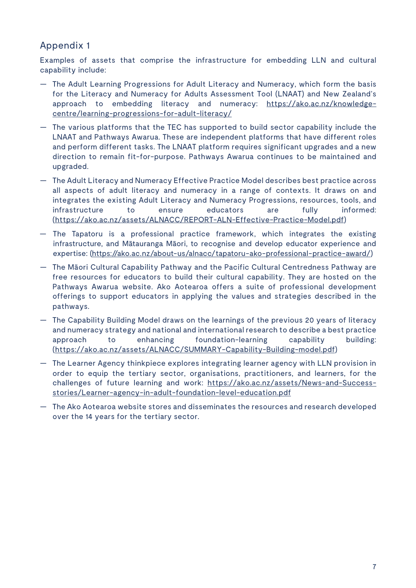## Appendix 1

Examples of assets that comprise the infrastructure for embedding LLN and cultural capability include:

- The Adult Learning Progressions for Adult Literacy and Numeracy, which form the basis for the Literacy and Numeracy for Adults Assessment Tool (LNAAT) and New Zealand's approach to embedding literacy and numeracy: https://ako.ac.nz/knowledgecentre/learning-progressions-for-adult-literacy/
- The various platforms that the TEC has supported to build sector capability include the LNAAT and Pathways Awarua. These are independent platforms that have different roles and perform different tasks. The LNAAT platform requires significant upgrades and a new direction to remain fit-for-purpose. Pathways Awarua continues to be maintained and upgraded.
- The Adult Literacy and Numeracy Effective Practice Model describes best practice across all aspects of adult literacy and numeracy in a range of contexts. It draws on and integrates the existing Adult Literacy and Numeracy Progressions, resources, tools, and infrastructure to ensure educators are fully informed: (https://ako.ac.nz/assets/ALNACC/REPORT-ALN-Effective-Practice-Model.pdf)
- The Tapatoru is a professional practice framework, which integrates the existing The Tapatoru is a professional practice framework, which integrates the existing infrastructure, and Mātauranga Māori, to recognise and develop educator experience and infrastructure, and Mātauranga Māori, to recognise and develop educator experience and expertise: [\(https://ako.ac.nz/about-us/alnacc/tapatoru-ako-professional-practice-award/](https://ako.ac.nz/about-us/alnacc/tapatoru-ako-professional-practice-award/))
- The Māori Cultural Capability Pathway and the Pacific Cultural Centredness Pathway are free resources for educators to build their cultural capability. They are hosted on the Pathways Awarua website. Ako Aotearoa offers a suite of professional development offerings to support educators in applying the values and strategies described in the pathways. offerings to support educators in applying the values and strategies described in the<br>pathways.<br>— The Capability Building Model draws on the learnings of the previous 20 years of literacy
- and numeracy strategy and national and international research to describe a best practice approach to enhancing foundation-learning capability building: (https://ako.ac.nz/assets/ALNACC/SUMMARY-Capability-Building-model.pdf)
- The Learner Agency thinkpiece explores integrating learner agency with LLN provision in order to equip the tertiary sector, organisations, practitioners, and learners, for the challenges of future learning and work: https://ako.ac.nz/assets/News-and-Successstories/Learner-agency-in-adult-foundation-level-education.pdf
- The Ako Aotearoa website stores and disseminates the resources and research developed over the 14 years for the tertiary sector.